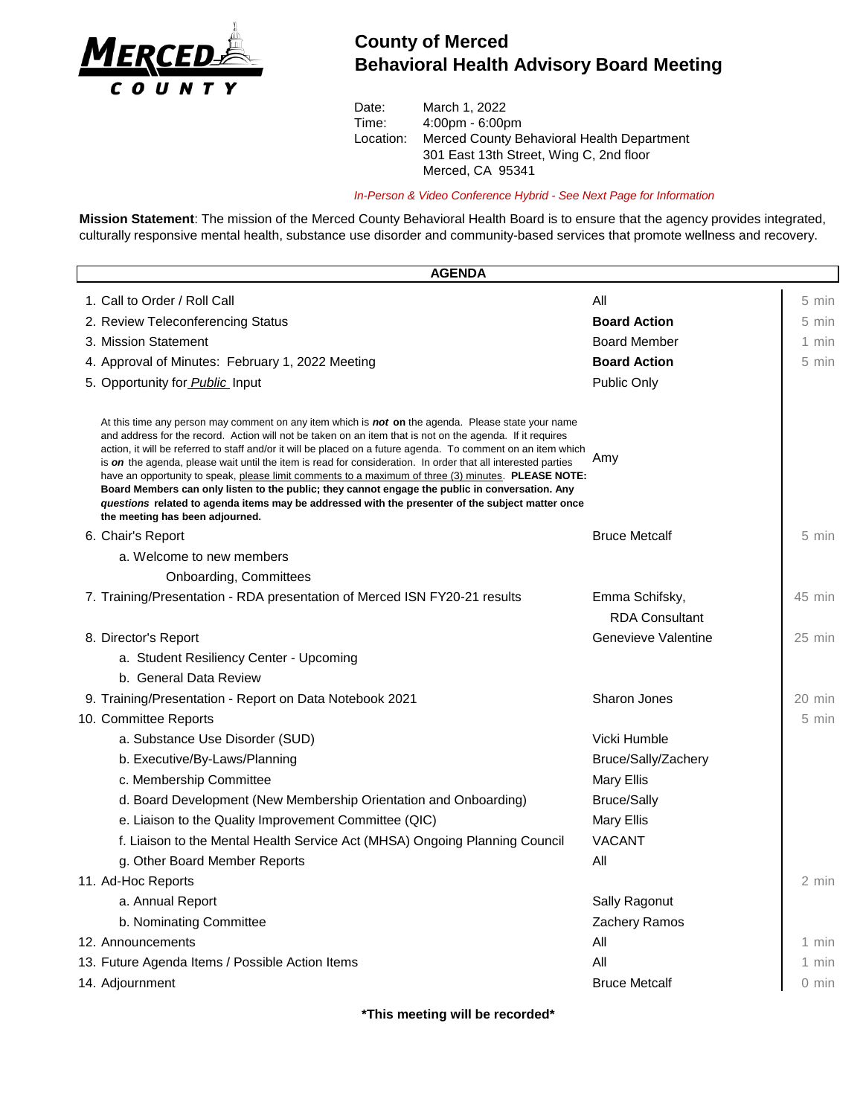

## **County of Merced Behavioral Health Advisory Board Meeting**

Date: March 1, 2022 Time: 4:00pm - 6:00pm Location: Merced County Behavioral Health Department 301 East 13th Street, Wing C, 2nd floor Merced, CA 95341

*In-Person & Video Conference Hybrid - See Next Page for Information*

**Mission Statement**: The mission of the Merced County Behavioral Health Board is to ensure that the agency provides integrated, culturally responsive mental health, substance use disorder and community-based services that promote wellness and recovery.

| <b>AGENDA</b> |                                                                                                                                                                                                                                                                                                                                                                                                                                                                                                                                                                                                                                                                                                                                                                                                          |                       |                  |  |
|---------------|----------------------------------------------------------------------------------------------------------------------------------------------------------------------------------------------------------------------------------------------------------------------------------------------------------------------------------------------------------------------------------------------------------------------------------------------------------------------------------------------------------------------------------------------------------------------------------------------------------------------------------------------------------------------------------------------------------------------------------------------------------------------------------------------------------|-----------------------|------------------|--|
|               | 1. Call to Order / Roll Call                                                                                                                                                                                                                                                                                                                                                                                                                                                                                                                                                                                                                                                                                                                                                                             | All                   | 5 min            |  |
|               | 2. Review Teleconferencing Status                                                                                                                                                                                                                                                                                                                                                                                                                                                                                                                                                                                                                                                                                                                                                                        | <b>Board Action</b>   | 5 min            |  |
|               | 3. Mission Statement                                                                                                                                                                                                                                                                                                                                                                                                                                                                                                                                                                                                                                                                                                                                                                                     | <b>Board Member</b>   | 1 min            |  |
|               | 4. Approval of Minutes: February 1, 2022 Meeting                                                                                                                                                                                                                                                                                                                                                                                                                                                                                                                                                                                                                                                                                                                                                         | <b>Board Action</b>   | 5 min            |  |
|               | 5. Opportunity for Public Input                                                                                                                                                                                                                                                                                                                                                                                                                                                                                                                                                                                                                                                                                                                                                                          | Public Only           |                  |  |
|               | At this time any person may comment on any item which is <b>not on</b> the agenda. Please state your name<br>and address for the record. Action will not be taken on an item that is not on the agenda. If it requires<br>action, it will be referred to staff and/or it will be placed on a future agenda. To comment on an item which<br>is on the agenda, please wait until the item is read for consideration. In order that all interested parties<br>have an opportunity to speak, please limit comments to a maximum of three (3) minutes. PLEASE NOTE:<br>Board Members can only listen to the public; they cannot engage the public in conversation. Any<br>questions related to agenda items may be addressed with the presenter of the subject matter once<br>the meeting has been adjourned. | Amy                   |                  |  |
|               | 6. Chair's Report                                                                                                                                                                                                                                                                                                                                                                                                                                                                                                                                                                                                                                                                                                                                                                                        | <b>Bruce Metcalf</b>  | 5 min            |  |
|               | a. Welcome to new members                                                                                                                                                                                                                                                                                                                                                                                                                                                                                                                                                                                                                                                                                                                                                                                |                       |                  |  |
|               | <b>Onboarding, Committees</b>                                                                                                                                                                                                                                                                                                                                                                                                                                                                                                                                                                                                                                                                                                                                                                            |                       |                  |  |
|               | 7. Training/Presentation - RDA presentation of Merced ISN FY20-21 results                                                                                                                                                                                                                                                                                                                                                                                                                                                                                                                                                                                                                                                                                                                                | Emma Schifsky,        | 45 min           |  |
|               |                                                                                                                                                                                                                                                                                                                                                                                                                                                                                                                                                                                                                                                                                                                                                                                                          | <b>RDA Consultant</b> |                  |  |
|               | 8. Director's Report                                                                                                                                                                                                                                                                                                                                                                                                                                                                                                                                                                                                                                                                                                                                                                                     | Genevieve Valentine   | $25$ min         |  |
|               | a. Student Resiliency Center - Upcoming                                                                                                                                                                                                                                                                                                                                                                                                                                                                                                                                                                                                                                                                                                                                                                  |                       |                  |  |
|               | b. General Data Review                                                                                                                                                                                                                                                                                                                                                                                                                                                                                                                                                                                                                                                                                                                                                                                   |                       |                  |  |
|               | 9. Training/Presentation - Report on Data Notebook 2021                                                                                                                                                                                                                                                                                                                                                                                                                                                                                                                                                                                                                                                                                                                                                  | Sharon Jones          | $20 \text{ min}$ |  |
|               | 10. Committee Reports                                                                                                                                                                                                                                                                                                                                                                                                                                                                                                                                                                                                                                                                                                                                                                                    |                       | 5 min            |  |
|               | a. Substance Use Disorder (SUD)                                                                                                                                                                                                                                                                                                                                                                                                                                                                                                                                                                                                                                                                                                                                                                          | Vicki Humble          |                  |  |
|               | b. Executive/By-Laws/Planning                                                                                                                                                                                                                                                                                                                                                                                                                                                                                                                                                                                                                                                                                                                                                                            | Bruce/Sally/Zachery   |                  |  |
|               | c. Membership Committee                                                                                                                                                                                                                                                                                                                                                                                                                                                                                                                                                                                                                                                                                                                                                                                  | <b>Mary Ellis</b>     |                  |  |
|               | d. Board Development (New Membership Orientation and Onboarding)                                                                                                                                                                                                                                                                                                                                                                                                                                                                                                                                                                                                                                                                                                                                         | <b>Bruce/Sally</b>    |                  |  |
|               | e. Liaison to the Quality Improvement Committee (QIC)                                                                                                                                                                                                                                                                                                                                                                                                                                                                                                                                                                                                                                                                                                                                                    | <b>Mary Ellis</b>     |                  |  |
|               | f. Liaison to the Mental Health Service Act (MHSA) Ongoing Planning Council                                                                                                                                                                                                                                                                                                                                                                                                                                                                                                                                                                                                                                                                                                                              | <b>VACANT</b>         |                  |  |
|               | g. Other Board Member Reports                                                                                                                                                                                                                                                                                                                                                                                                                                                                                                                                                                                                                                                                                                                                                                            | All                   |                  |  |
|               | 11. Ad-Hoc Reports                                                                                                                                                                                                                                                                                                                                                                                                                                                                                                                                                                                                                                                                                                                                                                                       |                       | 2 min            |  |
|               | a. Annual Report                                                                                                                                                                                                                                                                                                                                                                                                                                                                                                                                                                                                                                                                                                                                                                                         | Sally Ragonut         |                  |  |
|               | b. Nominating Committee                                                                                                                                                                                                                                                                                                                                                                                                                                                                                                                                                                                                                                                                                                                                                                                  | Zachery Ramos         |                  |  |
|               | 12. Announcements                                                                                                                                                                                                                                                                                                                                                                                                                                                                                                                                                                                                                                                                                                                                                                                        | All                   | 1 min            |  |
|               | 13. Future Agenda Items / Possible Action Items                                                                                                                                                                                                                                                                                                                                                                                                                                                                                                                                                                                                                                                                                                                                                          | All                   | 1 min            |  |
|               | 14. Adjournment                                                                                                                                                                                                                                                                                                                                                                                                                                                                                                                                                                                                                                                                                                                                                                                          | <b>Bruce Metcalf</b>  | 0 min            |  |

**\*This meeting will be recorded\***